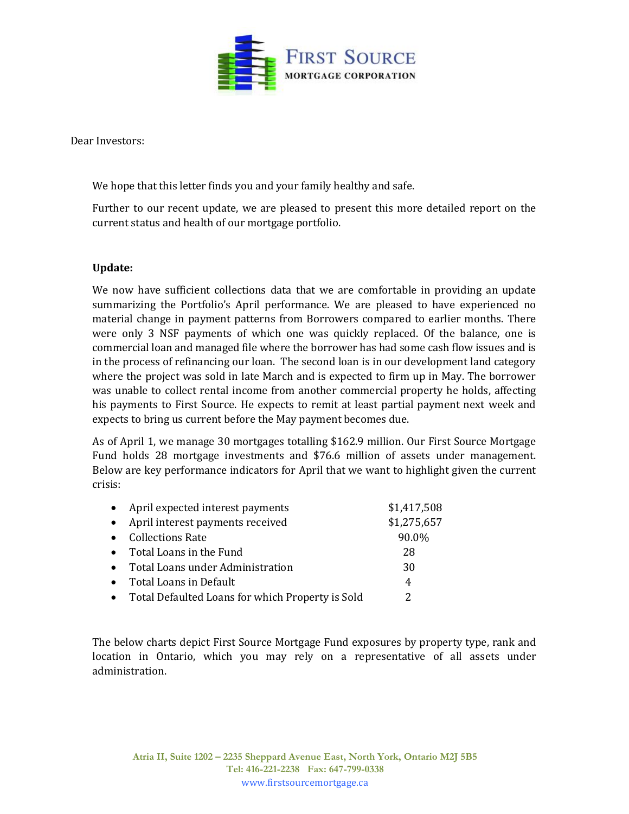

Dear Investors:

We hope that this letter finds you and your family healthy and safe.

Further to our recent update, we are pleased to present this more detailed report on the current status and health of our mortgage portfolio.

## **Update:**

We now have sufficient collections data that we are comfortable in providing an update summarizing the Portfolio's April performance. We are pleased to have experienced no material change in payment patterns from Borrowers compared to earlier months. There were only 3 NSF payments of which one was quickly replaced. Of the balance, one is commercial loan and managed file where the borrower has had some cash flow issues and is in the process of refinancing our loan. The second loan is in our development land category where the project was sold in late March and is expected to firm up in May. The borrower was unable to collect rental income from another commercial property he holds, affecting his payments to First Source. He expects to remit at least partial payment next week and expects to bring us current before the May payment becomes due.

As of April 1, we manage 30 mortgages totalling \$162.9 million. Our First Source Mortgage Fund holds 28 mortgage investments and \$76.6 million of assets under management. Below are key performance indicators for April that we want to highlight given the current crisis:

| $\bullet$ | April expected interest payments                   | \$1,417,508 |
|-----------|----------------------------------------------------|-------------|
| $\bullet$ | April interest payments received                   | \$1,275,657 |
| $\bullet$ | <b>Collections Rate</b>                            | 90.0%       |
|           | • Total Loans in the Fund                          | 28          |
|           | • Total Loans under Administration                 | 30          |
|           | • Total Loans in Default                           | 4           |
|           | • Total Defaulted Loans for which Property is Sold |             |

The below charts depict First Source Mortgage Fund exposures by property type, rank and location in Ontario, which you may rely on a representative of all assets under administration.